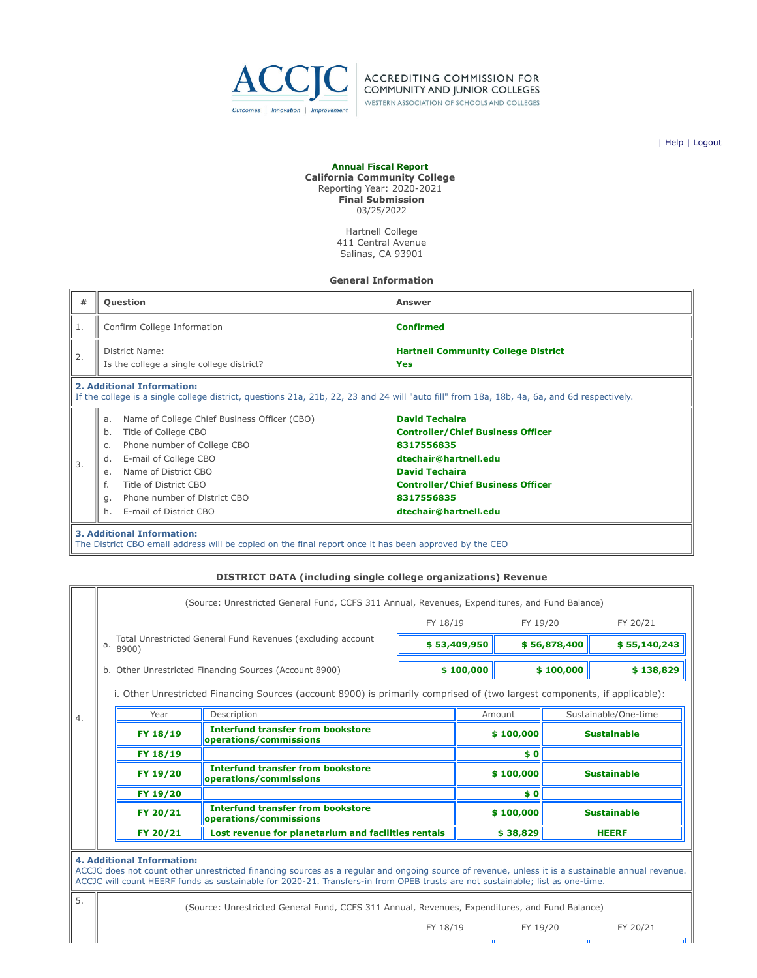

**ACCREDITING COMMISSION FOR** COMMUNITY AND JUNIOR COLLEGES WESTERN ASSOCIATION OF SCHOOLS AND COLLEGES

| [Help](javascript:newPopup() | [Logout](https://survey.accjc.org/fiscalreport/CCC/logout.php)

#### **Annual Fiscal Report**

**California Community College** Reporting Year: 2020-2021 **Final Submission** 03/25/2022

> Hartnell College 411 Central Avenue Salinas, CA 93901

**General Information**

| #                                                                                                                                                                                                                                                                                                                                                                                                    | <b>Question</b>                                                                                                                                                           | <b>Answer</b>                                                                                                 |  |  |  |  |
|------------------------------------------------------------------------------------------------------------------------------------------------------------------------------------------------------------------------------------------------------------------------------------------------------------------------------------------------------------------------------------------------------|---------------------------------------------------------------------------------------------------------------------------------------------------------------------------|---------------------------------------------------------------------------------------------------------------|--|--|--|--|
| 1.                                                                                                                                                                                                                                                                                                                                                                                                   | Confirm College Information                                                                                                                                               | <b>Confirmed</b>                                                                                              |  |  |  |  |
| 2.                                                                                                                                                                                                                                                                                                                                                                                                   | District Name:<br>Is the college a single college district?                                                                                                               | <b>Hartnell Community College District</b><br>Yes                                                             |  |  |  |  |
|                                                                                                                                                                                                                                                                                                                                                                                                      | 2. Additional Information:<br>If the college is a single college district, questions 21a, 21b, 22, 23 and 24 will "auto fill" from 18a, 18b, 4a, 6a, and 6d respectively. |                                                                                                               |  |  |  |  |
| <b>David Techaira</b><br>Name of College Chief Business Officer (CBO)<br>a.<br>Title of College CBO<br>b.<br>Phone number of College CBO<br>8317556835<br>C.<br>E-mail of College CBO<br>dtechair@hartnell.edu<br>d.<br>3.<br><b>David Techaira</b><br>Name of District CBO<br>e.<br>f.<br>Title of District CBO<br>Phone number of District CBO<br>8317556835<br>q.<br>E-mail of District CBO<br>h. |                                                                                                                                                                           | <b>Controller/Chief Business Officer</b><br><b>Controller/Chief Business Officer</b><br>dtechair@hartnell.edu |  |  |  |  |
|                                                                                                                                                                                                                                                                                                                                                                                                      | <b>3. Additional Information:</b>                                                                                                                                         |                                                                                                               |  |  |  |  |

The District CBO email address will be copied on the final report once it has been approved by the CEO

#### **DISTRICT DATA (including single college organizations) Revenue**

| (Source: Unrestricted General Fund, CCFS 311 Annual, Revenues, Expenditures, and Fund Balance)                                                                                                                                                                                                                         |                                                                      |                                                                    |                                                        |              |                          |                                    |                                                                                                                                                       |
|------------------------------------------------------------------------------------------------------------------------------------------------------------------------------------------------------------------------------------------------------------------------------------------------------------------------|----------------------------------------------------------------------|--------------------------------------------------------------------|--------------------------------------------------------|--------------|--------------------------|------------------------------------|-------------------------------------------------------------------------------------------------------------------------------------------------------|
|                                                                                                                                                                                                                                                                                                                        |                                                                      |                                                                    |                                                        |              |                          |                                    | FY 20/21                                                                                                                                              |
| а.                                                                                                                                                                                                                                                                                                                     | Total Unrestricted General Fund Revenues (excluding account<br>8900) |                                                                    |                                                        |              |                          |                                    | \$55,140,243                                                                                                                                          |
|                                                                                                                                                                                                                                                                                                                        |                                                                      |                                                                    | \$100,000                                              |              | \$100,000                |                                    | \$138,829                                                                                                                                             |
|                                                                                                                                                                                                                                                                                                                        |                                                                      |                                                                    |                                                        |              |                          |                                    |                                                                                                                                                       |
|                                                                                                                                                                                                                                                                                                                        | Year                                                                 | Description                                                        |                                                        | Amount       |                          | Sustainable/One-time               |                                                                                                                                                       |
| <b>Interfund transfer from bookstore</b><br>FY 18/19<br>operations/commissions                                                                                                                                                                                                                                         |                                                                      |                                                                    | \$100,000                                              |              | <b>Sustainable</b>       |                                    |                                                                                                                                                       |
|                                                                                                                                                                                                                                                                                                                        | FY 18/19                                                             |                                                                    |                                                        | \$0          |                          |                                    |                                                                                                                                                       |
|                                                                                                                                                                                                                                                                                                                        | FY 19/20                                                             | <b>Interfund transfer from bookstore</b><br>operations/commissions |                                                        |              |                          |                                    | <b>Sustainable</b>                                                                                                                                    |
|                                                                                                                                                                                                                                                                                                                        | FY 19/20                                                             |                                                                    |                                                        |              | \$0                      |                                    |                                                                                                                                                       |
|                                                                                                                                                                                                                                                                                                                        | FY 20/21                                                             | <b>Interfund transfer from bookstore</b><br>operations/commissions |                                                        |              |                          |                                    | <b>Sustainable</b>                                                                                                                                    |
| FY 20/21<br>Lost revenue for planetarium and facilities rentals                                                                                                                                                                                                                                                        |                                                                      |                                                                    |                                                        | <b>HEERF</b> |                          |                                    |                                                                                                                                                       |
|                                                                                                                                                                                                                                                                                                                        |                                                                      |                                                                    |                                                        |              |                          |                                    |                                                                                                                                                       |
| <b>4. Additional Information:</b><br>ACCJC does not count other unrestricted financing sources as a regular and ongoing source of revenue, unless it is a sustainable annual revenue.<br>ACCJC will count HEERF funds as sustainable for 2020-21. Transfers-in from OPEB trusts are not sustainable; list as one-time. |                                                                      |                                                                    |                                                        |              |                          |                                    |                                                                                                                                                       |
|                                                                                                                                                                                                                                                                                                                        |                                                                      |                                                                    | b. Other Unrestricted Financing Sources (Account 8900) |              | FY 18/19<br>\$53,409,950 | \$100,000<br>\$100,000<br>\$38,829 | FY 19/20<br>\$56,878,400<br>i. Other Unrestricted Financing Sources (account 8900) is primarily comprised of (two largest components, if applicable): |

5. (Source: Unrestricted General Fund, CCFS 311 Annual, Revenues, Expenditures, and Fund Balance)

Æ

FY 18/19 FY 19/20 FY 20/21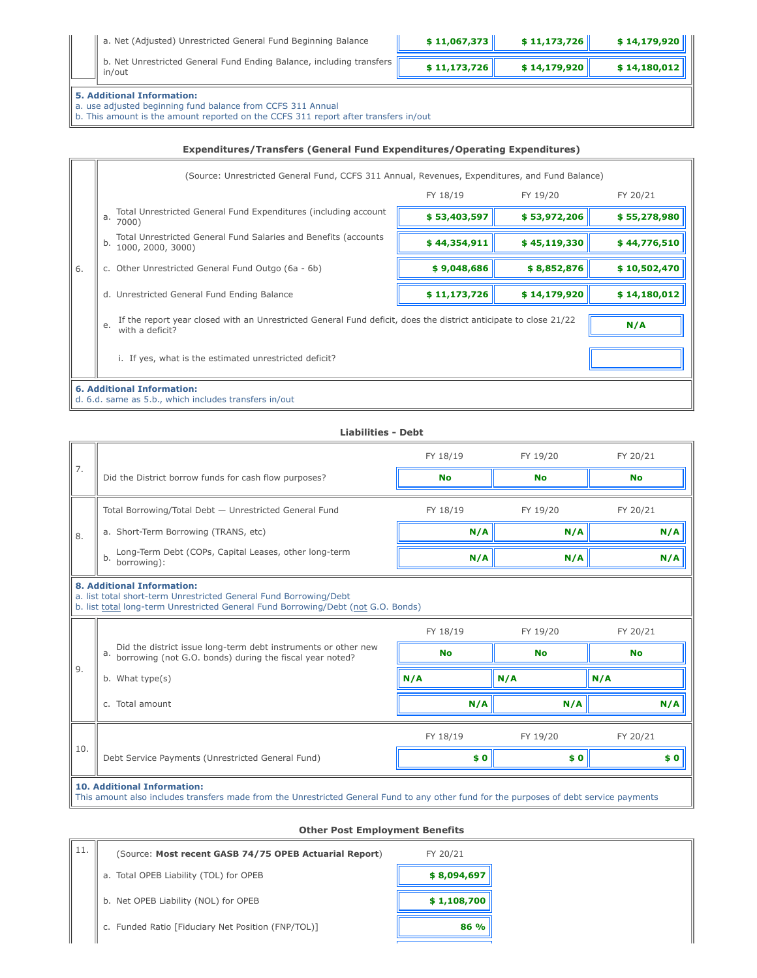| a. Net (Adjusted) Unrestricted General Fund Beginning Balance                      | \$11,067,373 | \$11,173,726 | \$14,179,920 |
|------------------------------------------------------------------------------------|--------------|--------------|--------------|
| b. Net Unrestricted General Fund Ending Balance, including transfers   [<br>in/out | \$11,173,726 | \$14,179,920 | \$14,180,012 |

# **5. Additional Information:**

a. use adjusted beginning fund balance from CCFS 311 Annual

b. This amount is the amount reported on the CCFS 311 report after transfers in/out

#### **Expenditures/Transfers (General Fund Expenditures/Operating Expenditures)**

|                                                                                                                                           | (Source: Unrestricted General Fund, CCFS 311 Annual, Revenues, Expenditures, and Fund Balance) |              |              |              |  |  |
|-------------------------------------------------------------------------------------------------------------------------------------------|------------------------------------------------------------------------------------------------|--------------|--------------|--------------|--|--|
|                                                                                                                                           |                                                                                                | FY 18/19     | FY 19/20     | FY 20/21     |  |  |
|                                                                                                                                           | Total Unrestricted General Fund Expenditures (including account<br>a.<br>7000)                 | \$53,403,597 | \$53,972,206 | \$55,278,980 |  |  |
|                                                                                                                                           | Total Unrestricted General Fund Salaries and Benefits (accounts<br>b.<br>1000, 2000, 3000)     | \$44,354,911 | \$45,119,330 | \$44,776,510 |  |  |
| 6.                                                                                                                                        | c. Other Unrestricted General Fund Outgo (6a - 6b)                                             | \$9,048,686  | \$8,852,876  | \$10,502,470 |  |  |
|                                                                                                                                           | d. Unrestricted General Fund Ending Balance                                                    | \$11,173,726 | \$14,179,920 | \$14,180,012 |  |  |
| If the report year closed with an Unrestricted General Fund deficit, does the district anticipate to close 21/22<br>e.<br>with a deficit? |                                                                                                |              |              | N/A          |  |  |
|                                                                                                                                           | i. If yes, what is the estimated unrestricted deficit?                                         |              |              |              |  |  |
|                                                                                                                                           | <b>6. Additional Information:</b><br>d. 6.d. same as 5.b., which includes transfers in/out     |              |              |              |  |  |

#### **Liabilities - Debt**

|     |                                                                                                                                                                                             | FY 18/19  | FY 19/20  | FY 20/21  |  |
|-----|---------------------------------------------------------------------------------------------------------------------------------------------------------------------------------------------|-----------|-----------|-----------|--|
| 7.  | Did the District borrow funds for cash flow purposes?                                                                                                                                       | <b>No</b> | <b>No</b> | <b>No</b> |  |
|     | Total Borrowing/Total Debt - Unrestricted General Fund                                                                                                                                      | FY 18/19  | FY 19/20  | FY 20/21  |  |
| 8.  | a. Short-Term Borrowing (TRANS, etc)                                                                                                                                                        | N/A       | N/A       | N/A       |  |
|     | Long-Term Debt (COPs, Capital Leases, other long-term<br>b.<br>borrowing):                                                                                                                  | N/A       | N/A       | N/A       |  |
|     | <b>8. Additional Information:</b><br>a. list total short-term Unrestricted General Fund Borrowing/Debt<br>b. list total long-term Unrestricted General Fund Borrowing/Debt (not G.O. Bonds) |           |           |           |  |
|     |                                                                                                                                                                                             | FY 18/19  | FY 19/20  | FY 20/21  |  |
|     | Did the district issue long-term debt instruments or other new<br>a.<br>borrowing (not G.O. bonds) during the fiscal year noted?                                                            | <b>No</b> | <b>No</b> | <b>No</b> |  |
| 9.  | b. What type(s)                                                                                                                                                                             | N/A       | N/A       | N/A       |  |
|     | c. Total amount                                                                                                                                                                             | N/A       | N/A       | N/A       |  |
|     |                                                                                                                                                                                             | FY 18/19  | FY 19/20  | FY 20/21  |  |
| 10. | Debt Service Payments (Unrestricted General Fund)                                                                                                                                           | \$0       | \$0       | \$0       |  |
|     | <b>10. Additional Information:</b><br>This amount also includes transfers made from the Unrestricted General Fund to any other fund for the purposes of debt service payments               |           |           |           |  |

# **Other Post Employment Benefits**

| 11. | (Source: Most recent GASB 74/75 OPEB Actuarial Report) | FY 20/21    |
|-----|--------------------------------------------------------|-------------|
|     | a. Total OPEB Liability (TOL) for OPEB                 | \$8,094,697 |
|     | b. Net OPEB Liability (NOL) for OPEB                   | \$1,108,700 |
|     | c. Funded Ratio [Fiduciary Net Position (FNP/TOL)]     | 86 %        |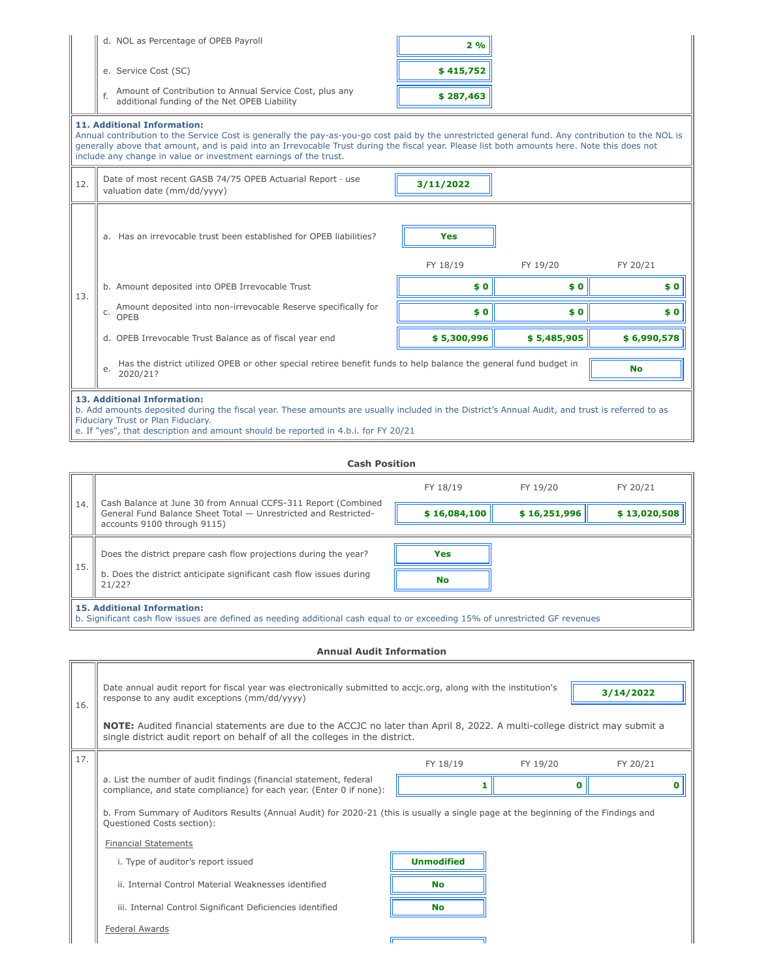|                                                                                                                                                                                                                                                                                                            | d. NOL as Percentage of OPEB Payroll                                                                                                                                                                                                                                                                                                                                                                        | 2%          |             |             |  |  |
|------------------------------------------------------------------------------------------------------------------------------------------------------------------------------------------------------------------------------------------------------------------------------------------------------------|-------------------------------------------------------------------------------------------------------------------------------------------------------------------------------------------------------------------------------------------------------------------------------------------------------------------------------------------------------------------------------------------------------------|-------------|-------------|-------------|--|--|
|                                                                                                                                                                                                                                                                                                            | e. Service Cost (SC)                                                                                                                                                                                                                                                                                                                                                                                        | \$415,752   |             |             |  |  |
|                                                                                                                                                                                                                                                                                                            | Amount of Contribution to Annual Service Cost, plus any<br>f.<br>additional funding of the Net OPEB Liability                                                                                                                                                                                                                                                                                               | \$287,463   |             |             |  |  |
|                                                                                                                                                                                                                                                                                                            | <b>11. Additional Information:</b><br>Annual contribution to the Service Cost is generally the pay-as-you-go cost paid by the unrestricted general fund. Any contribution to the NOL is<br>generally above that amount, and is paid into an Irrevocable Trust during the fiscal year. Please list both amounts here. Note this does not<br>include any change in value or investment earnings of the trust. |             |             |             |  |  |
| 12.                                                                                                                                                                                                                                                                                                        | Date of most recent GASB 74/75 OPEB Actuarial Report - use<br>valuation date (mm/dd/yyyy)                                                                                                                                                                                                                                                                                                                   | 3/11/2022   |             |             |  |  |
|                                                                                                                                                                                                                                                                                                            | a. Has an irrevocable trust been established for OPEB liabilities?                                                                                                                                                                                                                                                                                                                                          | <b>Yes</b>  |             |             |  |  |
|                                                                                                                                                                                                                                                                                                            |                                                                                                                                                                                                                                                                                                                                                                                                             | FY 18/19    | FY 19/20    | FY 20/21    |  |  |
| 13.                                                                                                                                                                                                                                                                                                        | b. Amount deposited into OPEB Irrevocable Trust                                                                                                                                                                                                                                                                                                                                                             | \$0         | \$0         | \$0         |  |  |
|                                                                                                                                                                                                                                                                                                            | Amount deposited into non-irrevocable Reserve specifically for<br>C.<br>OPEB                                                                                                                                                                                                                                                                                                                                | \$0         | \$0         | \$0         |  |  |
|                                                                                                                                                                                                                                                                                                            | d. OPEB Irrevocable Trust Balance as of fiscal year end                                                                                                                                                                                                                                                                                                                                                     | \$5,300,996 | \$5,485,905 | \$6,990,578 |  |  |
| Has the district utilized OPEB or other special retiree benefit funds to help balance the general fund budget in<br><b>No</b><br>е.<br>2020/21?                                                                                                                                                            |                                                                                                                                                                                                                                                                                                                                                                                                             |             |             |             |  |  |
| 13. Additional Information:<br>b. Add amounts deposited during the fiscal year. These amounts are usually included in the District's Annual Audit, and trust is referred to as<br>Fiduciary Trust or Plan Fiduciary.<br>e. If "yes", that description and amount should be reported in 4.b.i. for FY 20/21 |                                                                                                                                                                                                                                                                                                                                                                                                             |             |             |             |  |  |

|  |  | e. If "yes", that description and amount should be reported in 4.b.i. for FY 20/21 |
|--|--|------------------------------------------------------------------------------------|
|--|--|------------------------------------------------------------------------------------|

#### **Cash Position**

|     |                                                                                                                                                                    | FY 18/19     | FY 19/20     | FY 20/21     |  |  |
|-----|--------------------------------------------------------------------------------------------------------------------------------------------------------------------|--------------|--------------|--------------|--|--|
| 14. | Cash Balance at June 30 from Annual CCFS-311 Report (Combined<br>General Fund Balance Sheet Total - Unrestricted and Restricted-<br>accounts 9100 through 9115)    | \$16,084,100 | \$16,251,996 | \$13,020,508 |  |  |
| 15. | Does the district prepare cash flow projections during the year?                                                                                                   | <b>Yes</b>   |              |              |  |  |
|     | b. Does the district anticipate significant cash flow issues during<br>21/22?                                                                                      | <b>No</b>    |              |              |  |  |
|     | <b>15. Additional Information:</b><br>b. Significant cash flow issues are defined as needing additional cash equal to or exceeding 15% of unrestricted GF revenues |              |              |              |  |  |

**Annual Audit Information**

| 16. | Date annual audit report for fiscal year was electronically submitted to accjc.org, along with the institution's<br>3/14/2022<br>response to any audit exceptions (mm/dd/yyyy) |                                                                                                                                                                                                                  |          |          |  |  |  |  |  |
|-----|--------------------------------------------------------------------------------------------------------------------------------------------------------------------------------|------------------------------------------------------------------------------------------------------------------------------------------------------------------------------------------------------------------|----------|----------|--|--|--|--|--|
|     |                                                                                                                                                                                | <b>NOTE:</b> Audited financial statements are due to the ACCJC no later than April 8, 2022. A multi-college district may submit a<br>single district audit report on behalf of all the colleges in the district. |          |          |  |  |  |  |  |
| 17. |                                                                                                                                                                                | FY 18/19                                                                                                                                                                                                         | FY 19/20 | FY 20/21 |  |  |  |  |  |
|     | a. List the number of audit findings (financial statement, federal<br>compliance, and state compliance) for each year. (Enter 0 if none):                                      |                                                                                                                                                                                                                  |          | Ω        |  |  |  |  |  |
|     | b. From Summary of Auditors Results (Annual Audit) for 2020-21 (this is usually a single page at the beginning of the Findings and<br>Questioned Costs section):               |                                                                                                                                                                                                                  |          |          |  |  |  |  |  |
|     | <b>Financial Statements</b>                                                                                                                                                    |                                                                                                                                                                                                                  |          |          |  |  |  |  |  |
|     | i. Type of auditor's report issued                                                                                                                                             | <b>Unmodified</b>                                                                                                                                                                                                |          |          |  |  |  |  |  |
|     | ii. Internal Control Material Weaknesses identified                                                                                                                            | <b>No</b>                                                                                                                                                                                                        |          |          |  |  |  |  |  |
|     | iii. Internal Control Significant Deficiencies identified                                                                                                                      | No                                                                                                                                                                                                               |          |          |  |  |  |  |  |
|     | Federal Awards                                                                                                                                                                 |                                                                                                                                                                                                                  |          |          |  |  |  |  |  |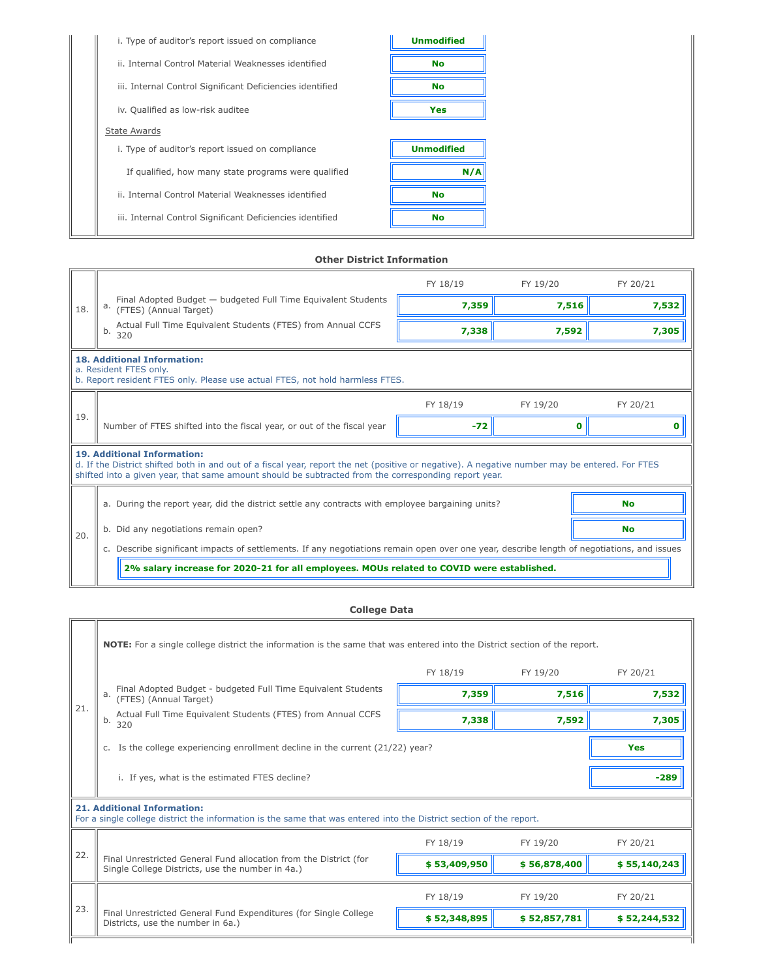| i. Type of auditor's report issued on compliance          | <b>Unmodified</b> |
|-----------------------------------------------------------|-------------------|
| ii. Internal Control Material Weaknesses identified       | <b>No</b>         |
| iii. Internal Control Significant Deficiencies identified | <b>No</b>         |
| iv. Qualified as low-risk auditee                         | Yes               |
| <b>State Awards</b>                                       |                   |
| i. Type of auditor's report issued on compliance          | <b>Unmodified</b> |
| If qualified, how many state programs were qualified      | N/A               |
| ii. Internal Control Material Weaknesses identified       | <b>No</b>         |
| iii. Internal Control Significant Deficiencies identified | <b>No</b>         |

### **Other District Information**

|     |                                                                                                                                                                                                                                                                                              | FY 18/19 | FY 19/20 | FY 20/21  |  |  |
|-----|----------------------------------------------------------------------------------------------------------------------------------------------------------------------------------------------------------------------------------------------------------------------------------------------|----------|----------|-----------|--|--|
| 18. | Final Adopted Budget - budgeted Full Time Equivalent Students<br>а.<br>(FTES) (Annual Target)                                                                                                                                                                                                | 7,359    | 7,516    | 7,532     |  |  |
|     | Actual Full Time Equivalent Students (FTES) from Annual CCFS<br>b.<br>320                                                                                                                                                                                                                    | 7,338    | 7,592    | 7,305     |  |  |
|     | <b>18. Additional Information:</b><br>a. Resident FTES only.<br>b. Report resident FTES only. Please use actual FTES, not hold harmless FTES.                                                                                                                                                |          |          |           |  |  |
|     |                                                                                                                                                                                                                                                                                              | FY 18/19 | FY 19/20 | FY 20/21  |  |  |
| 19. | Number of FTES shifted into the fiscal year, or out of the fiscal year                                                                                                                                                                                                                       | $-72$    | 0        | 0         |  |  |
|     | <b>19. Additional Information:</b><br>d. If the District shifted both in and out of a fiscal year, report the net (positive or negative). A negative number may be entered. For FTES<br>shifted into a given year, that same amount should be subtracted from the corresponding report year. |          |          |           |  |  |
|     | a. During the report year, did the district settle any contracts with employee bargaining units?                                                                                                                                                                                             |          |          | <b>No</b> |  |  |
| 20. | Did any negotiations remain open?<br>b.                                                                                                                                                                                                                                                      |          |          | <b>No</b> |  |  |
|     | c. Describe significant impacts of settlements. If any negotiations remain open over one year, describe length of negotiations, and issues                                                                                                                                                   |          |          |           |  |  |
|     | 2% salary increase for 2020-21 for all employees. MOUs related to COVID were established.                                                                                                                                                                                                    |          |          |           |  |  |

# **College Data**

 $\overline{\mathbb{L}}$ 

|                                                                                                                                                           | NOTE: For a single college district the information is the same that was entered into the District section of the report. |              |              |              |  |  |
|-----------------------------------------------------------------------------------------------------------------------------------------------------------|---------------------------------------------------------------------------------------------------------------------------|--------------|--------------|--------------|--|--|
| 21.                                                                                                                                                       |                                                                                                                           | FY 18/19     | FY 19/20     | FY 20/21     |  |  |
|                                                                                                                                                           | Final Adopted Budget - budgeted Full Time Equivalent Students<br>(FTES) (Annual Target)                                   | 7,359        | 7,516        | 7,532        |  |  |
|                                                                                                                                                           | Actual Full Time Equivalent Students (FTES) from Annual CCFS<br>b.<br>320                                                 | 7,338        | 7,592        | 7,305        |  |  |
|                                                                                                                                                           | c. Is the college experiencing enrollment decline in the current (21/22) year?<br><b>Yes</b>                              |              |              |              |  |  |
|                                                                                                                                                           | i. If yes, what is the estimated FTES decline?                                                                            |              |              | $-289$       |  |  |
| <b>21. Additional Information:</b><br>For a single college district the information is the same that was entered into the District section of the report. |                                                                                                                           |              |              |              |  |  |
| 22.                                                                                                                                                       |                                                                                                                           | FY 18/19     | FY 19/20     | FY 20/21     |  |  |
|                                                                                                                                                           | Final Unrestricted General Fund allocation from the District (for<br>Single College Districts, use the number in 4a.)     | \$53,409,950 | \$56,878,400 | \$55,140,243 |  |  |
| 23.                                                                                                                                                       |                                                                                                                           | FY 18/19     | FY 19/20     | FY 20/21     |  |  |
|                                                                                                                                                           | Final Unrestricted General Fund Expenditures (for Single College<br>Districts, use the number in 6a.)                     | \$52,348,895 | \$52,857,781 | \$52,244,532 |  |  |
|                                                                                                                                                           |                                                                                                                           |              |              |              |  |  |